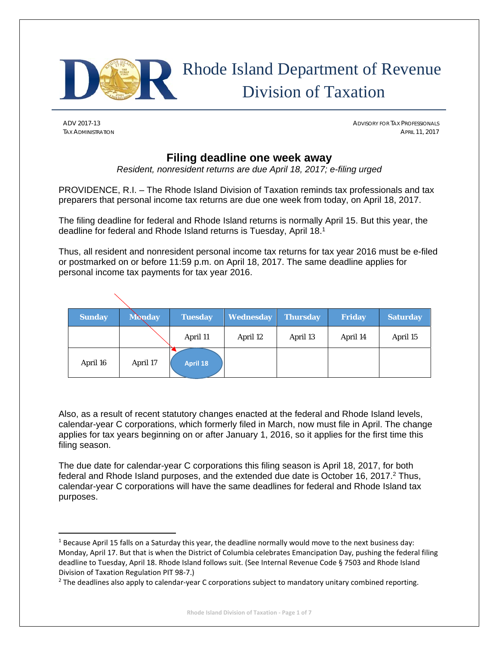

# Rhode Island Department of Revenue Division of Taxation

ADV 2017-13 ADVISORY FOR TAX PROFESSIONALS TAX ADMINISTRATION APRIL 11, 2017

## **Filing deadline one week away**

*Resident, nonresident returns are due April 18, 2017; e-filing urged* 

PROVIDENCE, R.I. – The Rhode Island Division of Taxation reminds tax professionals and tax preparers that personal income tax returns are due one week from today, on April 18, 2017.

The filing deadline for federal and Rhode Island returns is normally April 15. But this year, the deadline for federal and Rhode Island returns is Tuesday, April 18.1

Thus, all resident and nonresident personal income tax returns for tax year 2016 must be e-filed or postmarked on or before 11:59 p.m. on April 18, 2017. The same deadline applies for personal income tax payments for tax year 2016.

| <b>Sunday</b> | <b>Monday</b> | <b>Tuesday</b> | <b>Wednesday</b> | <b>Thursday</b> | <b>Friday</b> | <b>Saturday</b> |
|---------------|---------------|----------------|------------------|-----------------|---------------|-----------------|
|               |               | April 11       | April 12         | April 13        | April 14      | April 15        |
| April 16      | April 17      | April 18       |                  |                 |               |                 |

Also, as a result of recent statutory changes enacted at the federal and Rhode Island levels, calendar-year C corporations, which formerly filed in March, now must file in April. The change applies for tax years beginning on or after January 1, 2016, so it applies for the first time this filing season.

The due date for calendar-year C corporations this filing season is April 18, 2017, for both federal and Rhode Island purposes, and the extended due date is October 16, 2017.2 Thus, calendar-year C corporations will have the same deadlines for federal and Rhode Island tax purposes.

 $1$  Because April 15 falls on a Saturday this year, the deadline normally would move to the next business day: Monday, April 17. But that is when the District of Columbia celebrates Emancipation Day, pushing the federal filing deadline to Tuesday, April 18. Rhode Island follows suit. (See Internal Revenue Code § 7503 and Rhode Island Division of Taxation Regulation PIT 98‐7.)

<sup>&</sup>lt;sup>2</sup> The deadlines also apply to calendar-year C corporations subject to mandatory unitary combined reporting.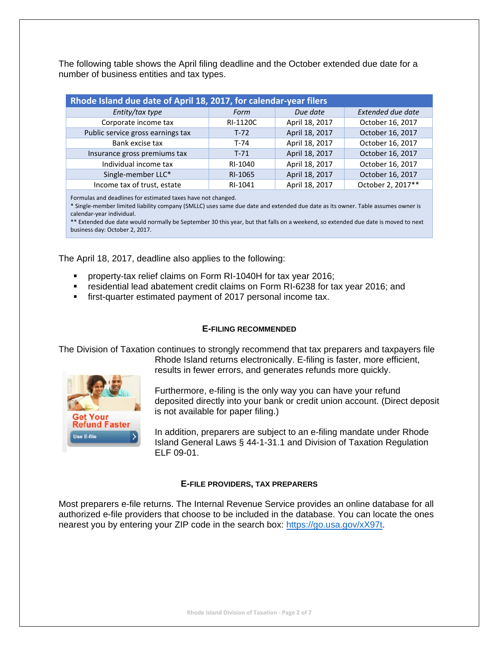The following table shows the April filing deadline and the October extended due date for a number of business entities and tax types.

| Rhode Island due date of April 18, 2017, for calendar-year filers |          |                |                          |
|-------------------------------------------------------------------|----------|----------------|--------------------------|
| Entity/tax type                                                   | Form     | Due date       | <b>Extended due date</b> |
| Corporate income tax                                              | RI-1120C | April 18, 2017 | October 16, 2017         |
| Public service gross earnings tax                                 | $T-72$   | April 18, 2017 | October 16, 2017         |
| Bank excise tax                                                   | T-74     | April 18, 2017 | October 16, 2017         |
| Insurance gross premiums tax                                      | $T-71$   | April 18, 2017 | October 16, 2017         |
| Individual income tax                                             | RI-1040  | April 18, 2017 | October 16, 2017         |
| Single-member LLC*                                                | RI-1065  | April 18, 2017 | October 16, 2017         |
| Income tax of trust, estate                                       | RI-1041  | April 18, 2017 | October 2, 2017**        |

Formulas and deadlines for estimated taxes have not changed.

\* Single‐member limited liability company (SMLLC) uses same due date and extended due date as its owner. Table assumes owner is calendar‐year individual.

\*\* Extended due date would normally be September 30 this year, but that falls on a weekend, so extended due date is moved to next business day: October 2, 2017.

The April 18, 2017, deadline also applies to the following:

- property-tax relief claims on Form RI-1040H for tax year 2016;
- **Fall ending in Ann and Abatement credit claims on Form RI-6238 for tax year 2016; and**
- first-quarter estimated payment of 2017 personal income tax.

## **E-FILING RECOMMENDED**

The Division of Taxation continues to strongly recommend that tax preparers and taxpayers file Rhode Island returns electronically. E-filing is faster, more efficient,



Use E-file

Furthermore, e-filing is the only way you can have your refund deposited directly into your bank or credit union account. (Direct deposit is not available for paper filing.)

In addition, preparers are subject to an e-filing mandate under Rhode Island General Laws § 44-1-31.1 and Division of Taxation Regulation ELF 09-01.

## **E-FILE PROVIDERS, TAX PREPARERS**

Most preparers e-file returns. The Internal Revenue Service provides an online database for all authorized e-file providers that choose to be included in the database. You can locate the ones nearest you by entering your ZIP code in the search box: https://go.usa.gov/xX97t.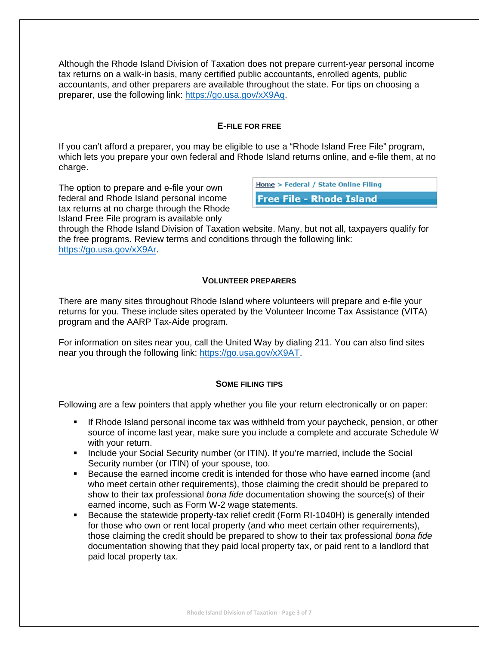Although the Rhode Island Division of Taxation does not prepare current-year personal income tax returns on a walk-in basis, many certified public accountants, enrolled agents, public accountants, and other preparers are available throughout the state. For tips on choosing a preparer, use the following link: https://go.usa.gov/xX9Aq.

## **E-FILE FOR FREE**

If you can't afford a preparer, you may be eligible to use a "Rhode Island Free File" program, which lets you prepare your own federal and Rhode Island returns online, and e-file them, at no charge.

The option to prepare and e-file your own federal and Rhode Island personal income tax returns at no charge through the Rhode Island Free File program is available only

Home > Federal / State Online Filing

**Free File - Rhode Island** 

through the Rhode Island Division of Taxation website. Many, but not all, taxpayers qualify for the free programs. Review terms and conditions through the following link: https://go.usa.gov/xX9Ar.

## **VOLUNTEER PREPARERS**

There are many sites throughout Rhode Island where volunteers will prepare and e-file your returns for you. These include sites operated by the Volunteer Income Tax Assistance (VITA) program and the AARP Tax-Aide program.

For information on sites near you, call the United Way by dialing 211. You can also find sites near you through the following link: https://go.usa.gov/xX9AT.

## **SOME FILING TIPS**

Following are a few pointers that apply whether you file your return electronically or on paper:

- If Rhode Island personal income tax was withheld from your paycheck, pension, or other source of income last year, make sure you include a complete and accurate Schedule W with your return.
- **Include your Social Security number (or ITIN). If you're married, include the Social** Security number (or ITIN) of your spouse, too.
- Because the earned income credit is intended for those who have earned income (and who meet certain other requirements), those claiming the credit should be prepared to show to their tax professional *bona fide* documentation showing the source(s) of their earned income, such as Form W-2 wage statements.
- Because the statewide property-tax relief credit (Form RI-1040H) is generally intended for those who own or rent local property (and who meet certain other requirements), those claiming the credit should be prepared to show to their tax professional *bona fide* documentation showing that they paid local property tax, or paid rent to a landlord that paid local property tax.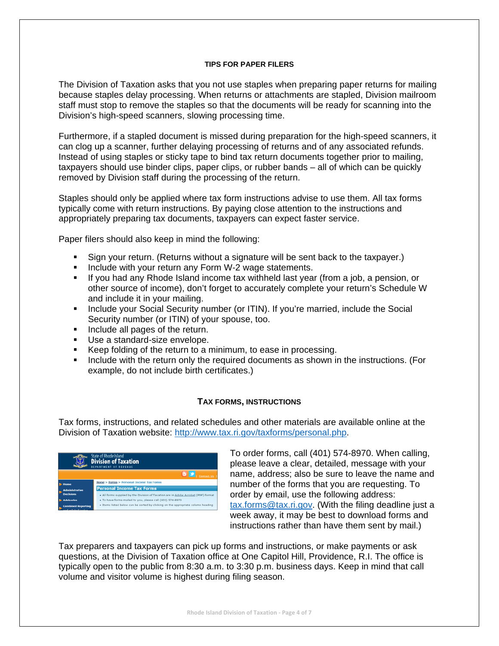## **TIPS FOR PAPER FILERS**

The Division of Taxation asks that you not use staples when preparing paper returns for mailing because staples delay processing. When returns or attachments are stapled, Division mailroom staff must stop to remove the staples so that the documents will be ready for scanning into the Division's high-speed scanners, slowing processing time.

Furthermore, if a stapled document is missed during preparation for the high-speed scanners, it can clog up a scanner, further delaying processing of returns and of any associated refunds. Instead of using staples or sticky tape to bind tax return documents together prior to mailing, taxpayers should use binder clips, paper clips, or rubber bands – all of which can be quickly removed by Division staff during the processing of the return.

Staples should only be applied where tax form instructions advise to use them. All tax forms typically come with return instructions. By paying close attention to the instructions and appropriately preparing tax documents, taxpayers can expect faster service.

Paper filers should also keep in mind the following:

- Sign your return. (Returns without a signature will be sent back to the taxpayer.)
- **Include with your return any Form W-2 wage statements.**
- If you had any Rhode Island income tax withheld last year (from a job, a pension, or other source of income), don't forget to accurately complete your return's Schedule W and include it in your mailing.
- **Include your Social Security number (or ITIN). If you're married, include the Social** Security number (or ITIN) of your spouse, too.
- Include all pages of the return.
- Use a standard-size envelope.
- Keep folding of the return to a minimum, to ease in processing.
- Include with the return only the required documents as shown in the instructions. (For example, do not include birth certificates.)

## **TAX FORMS, INSTRUCTIONS**

Tax forms, instructions, and related schedules and other materials are available online at the Division of Taxation website: http://www.tax.ri.gov/taxforms/personal.php.



To order forms, call (401) 574-8970. When calling, please leave a clear, detailed, message with your name, address; also be sure to leave the name and number of the forms that you are requesting. To order by email, use the following address: tax.forms@tax.ri.gov. (With the filing deadline just a week away, it may be best to download forms and instructions rather than have them sent by mail.)

Tax preparers and taxpayers can pick up forms and instructions, or make payments or ask questions, at the Division of Taxation office at One Capitol Hill, Providence, R.I. The office is typically open to the public from 8:30 a.m. to 3:30 p.m. business days. Keep in mind that call volume and visitor volume is highest during filing season.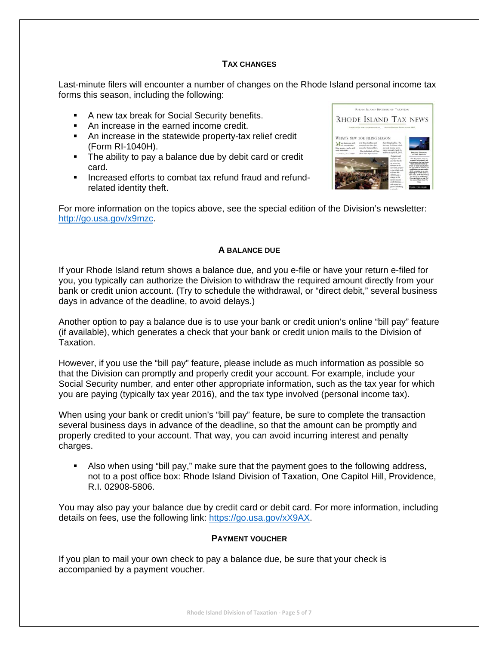## **TAX CHANGES**

Last-minute filers will encounter a number of changes on the Rhode Island personal income tax forms this season, including the following:

- A new tax break for Social Security benefits.
- An increase in the earned income credit.
- An increase in the statewide property-tax relief credit (Form RI-1040H).
- The ability to pay a balance due by debit card or credit card.
- Increased efforts to combat tax refund fraud and refundrelated identity theft.



For more information on the topics above, see the special edition of the Division's newsletter: http://go.usa.gov/x9mzc.

#### **A BALANCE DUE**

If your Rhode Island return shows a balance due, and you e-file or have your return e-filed for you, you typically can authorize the Division to withdraw the required amount directly from your bank or credit union account. (Try to schedule the withdrawal, or "direct debit," several business days in advance of the deadline, to avoid delays.)

Another option to pay a balance due is to use your bank or credit union's online "bill pay" feature (if available), which generates a check that your bank or credit union mails to the Division of Taxation.

However, if you use the "bill pay" feature, please include as much information as possible so that the Division can promptly and properly credit your account. For example, include your Social Security number, and enter other appropriate information, such as the tax year for which you are paying (typically tax year 2016), and the tax type involved (personal income tax).

When using your bank or credit union's "bill pay" feature, be sure to complete the transaction several business days in advance of the deadline, so that the amount can be promptly and properly credited to your account. That way, you can avoid incurring interest and penalty charges.

 Also when using "bill pay," make sure that the payment goes to the following address, not to a post office box: Rhode Island Division of Taxation, One Capitol Hill, Providence, R.I. 02908-5806.

You may also pay your balance due by credit card or debit card. For more information, including details on fees, use the following link: https://go.usa.gov/xX9AX.

## **PAYMENT VOUCHER**

If you plan to mail your own check to pay a balance due, be sure that your check is accompanied by a payment voucher.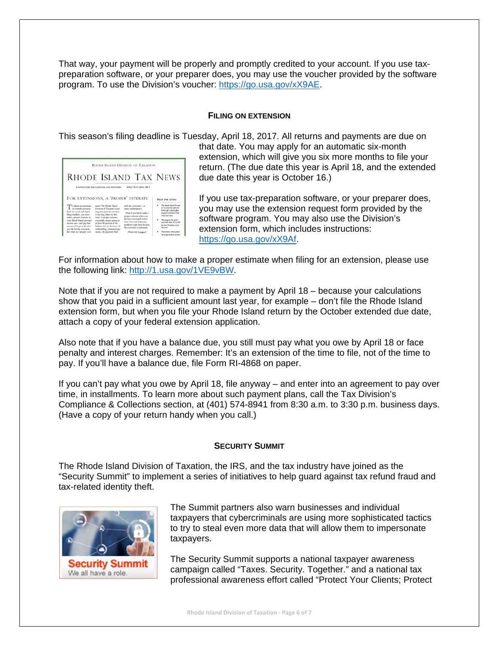That way, your payment will be properly and promptly credited to your account. If you use taxpreparation software, or your preparer does, you may use the voucher provided by the software program. To use the Division's voucher: https://go.usa.gov/xX9AE.

#### **FILING ON EXTENSION**

This season's filing deadline is Tuesday, April 18, 2017. All returns and payments are due on

|                                                                                                                                             |                                                                                                                                                     | RHODE ISLAND DIVISION OF TAXATION                                                                                |                                                                                                                                      |
|---------------------------------------------------------------------------------------------------------------------------------------------|-----------------------------------------------------------------------------------------------------------------------------------------------------|------------------------------------------------------------------------------------------------------------------|--------------------------------------------------------------------------------------------------------------------------------------|
|                                                                                                                                             | A NEWSLETTER FOR TAXABLESS AND PREPARENT                                                                                                            | RHODE ISLAND TAX NEWS<br>APRIL/MAY/JUNE 2011                                                                     |                                                                                                                                      |
|                                                                                                                                             |                                                                                                                                                     |                                                                                                                  |                                                                                                                                      |
| o obtain an automatic                                                                                                                       | FOR EXTENSIONS, A 'PROPER' ESTIMATE<br>mater The Rhode Island                                                                                       | with the extension - or                                                                                          | <b>HILF FOR CITIES:</b><br>He Rich Mad Denn                                                                                          |
| sta-mendie extensioni<br>from the usual mid-April<br>filing deadline, you must<br>make a proper extinuite of<br>your Massle Island personal | Division of Taxation is put-<br>ting into print the position<br>it has long taken on this<br>issue: A proper estimate<br>annottally means paying in | ment consideration).<br>What if you fail to make a<br>proper cottonete tehen was<br>file for a sta-month extent. | of Economics has afficted?<br>lished off a refund office<br>program consulted as Arily<br>cities and some.<br>The program has green. |

that date. You may apply for an automatic six-month extension, which will give you six more months to file your return. (The due date this year is April 18, and the extended due date this year is October 16.)

If you use tax-preparation software, or your preparer does, you may use the extension request form provided by the software program. You may also use the Division's extension form, which includes instructions: https://go.usa.gov/xX9Af.

For information about how to make a proper estimate when filing for an extension, please use the following link: http://1.usa.gov/1VE9vBW.

Note that if you are not required to make a payment by April 18 – because your calculations show that you paid in a sufficient amount last year, for example – don't file the Rhode Island extension form, but when you file your Rhode Island return by the October extended due date, attach a copy of your federal extension application.

Also note that if you have a balance due, you still must pay what you owe by April 18 or face penalty and interest charges. Remember: It's an extension of the time to file, not of the time to pay. If you'll have a balance due, file Form RI-4868 on paper.

If you can't pay what you owe by April 18, file anyway – and enter into an agreement to pay over time, in installments. To learn more about such payment plans, call the Tax Division's Compliance & Collections section, at (401) 574-8941 from 8:30 a.m. to 3:30 p.m. business days. (Have a copy of your return handy when you call.)

## **SECURITY SUMMIT**

The Rhode Island Division of Taxation, the IRS, and the tax industry have joined as the "Security Summit" to implement a series of initiatives to help guard against tax refund fraud and tax-related identity theft.



The Summit partners also warn businesses and individual taxpayers that cybercriminals are using more sophisticated tactics to try to steal even more data that will allow them to impersonate taxpayers.

The Security Summit supports a national taxpayer awareness campaign called "Taxes. Security. Together." and a national tax professional awareness effort called "Protect Your Clients; Protect